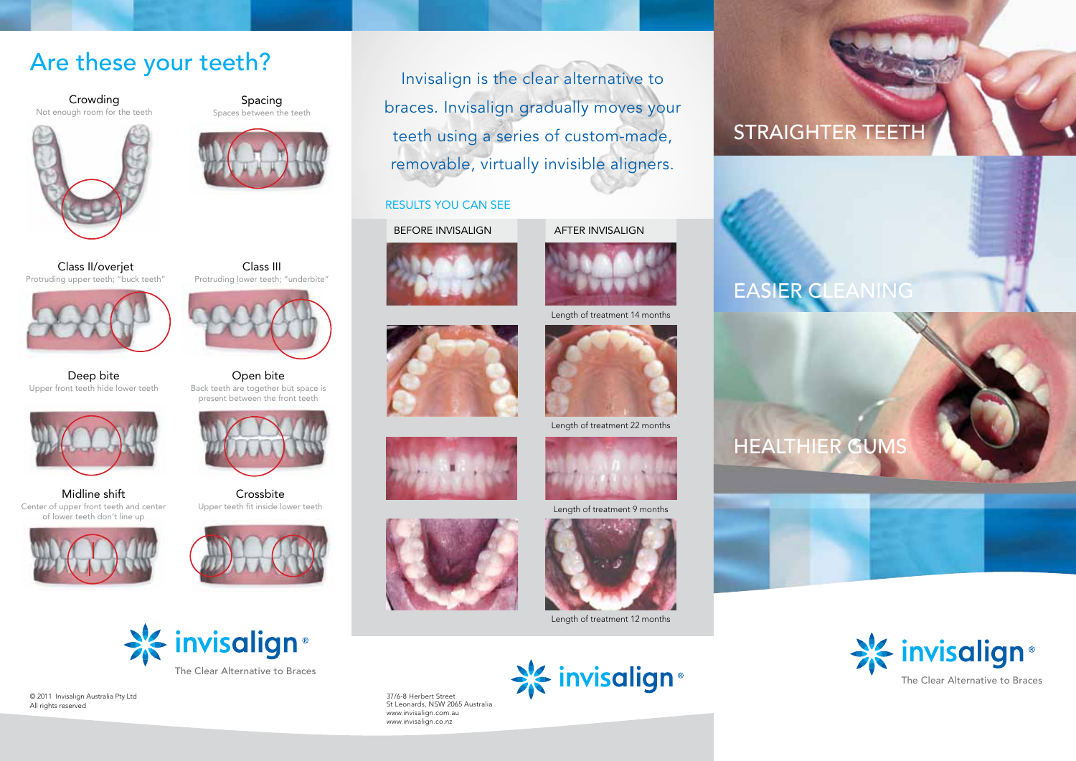### Are these your teeth?

Crowding Not enough room for the teeth





Spacing

Class II/overjet Protruding upper teeth; "buck teeth"





Open bite Back teeth are together but space is present between the front teeth

Class III

Deep bite Upper front teeth hide lower teeth





Center of upper front teeth and center of lower teeth don't line up





Crossbite



© 2011 Invisalign Australia Pty Ltd All rights reserved

Invisalign is the clear alternative to braces. Invisalign gradually moves your teeth using a series of custom-made, removable, virtually invisible aligners.

#### RESULTS YOU CAN SEE

BEFORE INVISALIGN AFTER INVISALIGN













Length of treatment 9 months





37/6-8 Herbert Street St Leonards, NSW 2065 Australia www.invisalign.com.au www.invisalign.co.nz

## STRAIGHTER TEETH























Length of treatment 12 months